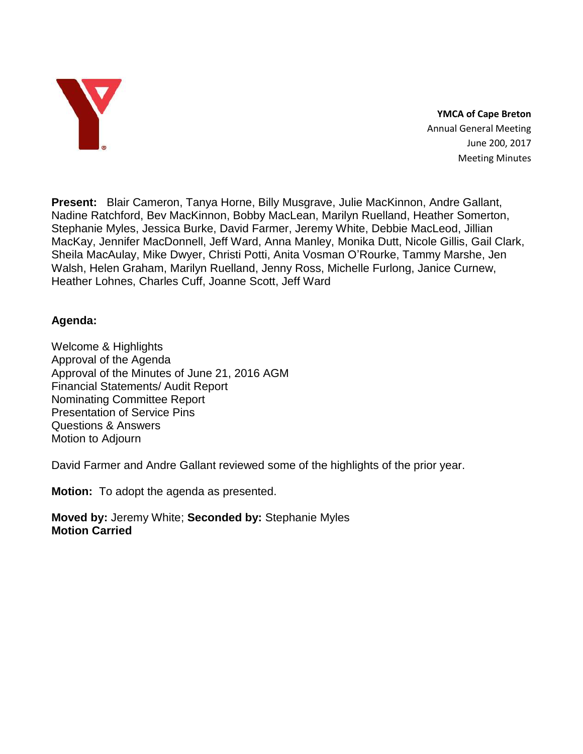

**YMCA of Cape Breton** Annual General Meeting June 200, 2017 Meeting Minutes

**Present:** Blair Cameron, Tanya Horne, Billy Musgrave, Julie MacKinnon, Andre Gallant, Nadine Ratchford, Bev MacKinnon, Bobby MacLean, Marilyn Ruelland, Heather Somerton, Stephanie Myles, Jessica Burke, David Farmer, Jeremy White, Debbie MacLeod, Jillian MacKay, Jennifer MacDonnell, Jeff Ward, Anna Manley, Monika Dutt, Nicole Gillis, Gail Clark, Sheila MacAulay, Mike Dwyer, Christi Potti, Anita Vosman O'Rourke, Tammy Marshe, Jen Walsh, Helen Graham, Marilyn Ruelland, Jenny Ross, Michelle Furlong, Janice Curnew, Heather Lohnes, Charles Cuff, Joanne Scott, Jeff Ward

# **Agenda:**

Welcome & Highlights Approval of the Agenda Approval of the Minutes of June 21, 2016 AGM Financial Statements/ Audit Report Nominating Committee Report Presentation of Service Pins Questions & Answers Motion to Adjourn

David Farmer and Andre Gallant reviewed some of the highlights of the prior year.

**Motion:** To adopt the agenda as presented.

**Moved by:** Jeremy White; **Seconded by:** Stephanie Myles **Motion Carried**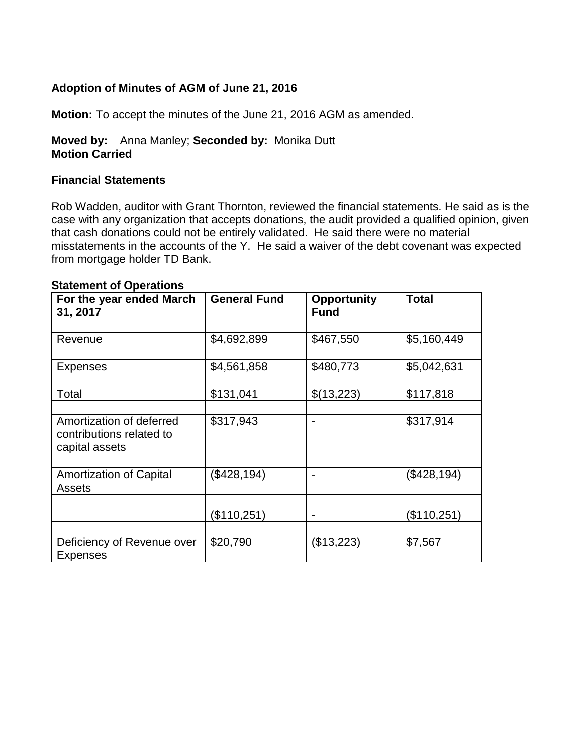# **Adoption of Minutes of AGM of June 21, 2016**

**Motion:** To accept the minutes of the June 21, 2016 AGM as amended.

### **Moved by:** Anna Manley; **Seconded by:** Monika Dutt **Motion Carried**

#### **Financial Statements**

Rob Wadden, auditor with Grant Thornton, reviewed the financial statements. He said as is the case with any organization that accepts donations, the audit provided a qualified opinion, given that cash donations could not be entirely validated. He said there were no material misstatements in the accounts of the Y. He said a waiver of the debt covenant was expected from mortgage holder TD Bank.

| For the year ended March<br>31, 2017                                   | <b>General Fund</b> | <b>Opportunity</b><br><b>Fund</b> | <b>Total</b> |
|------------------------------------------------------------------------|---------------------|-----------------------------------|--------------|
|                                                                        |                     |                                   |              |
| Revenue                                                                | \$4,692,899         | \$467,550                         | \$5,160,449  |
|                                                                        |                     |                                   |              |
| Expenses                                                               | \$4,561,858         | \$480,773                         | \$5,042,631  |
|                                                                        |                     |                                   |              |
| Total                                                                  | \$131,041           | \$(13,223)                        | \$117,818    |
|                                                                        |                     |                                   |              |
| Amortization of deferred<br>contributions related to<br>capital assets | \$317,943           | $\blacksquare$                    | \$317,914    |
|                                                                        |                     |                                   |              |
| <b>Amortization of Capital</b><br><b>Assets</b>                        | (\$428,194)         | $\overline{\phantom{0}}$          | (\$428,194)  |
|                                                                        |                     |                                   |              |
|                                                                        | (\$110,251)         | $\blacksquare$                    | (\$110,251)  |
|                                                                        |                     |                                   |              |
| Deficiency of Revenue over<br><b>Expenses</b>                          | \$20,790            | (\$13,223)                        | \$7,567      |

#### **Statement of Operations**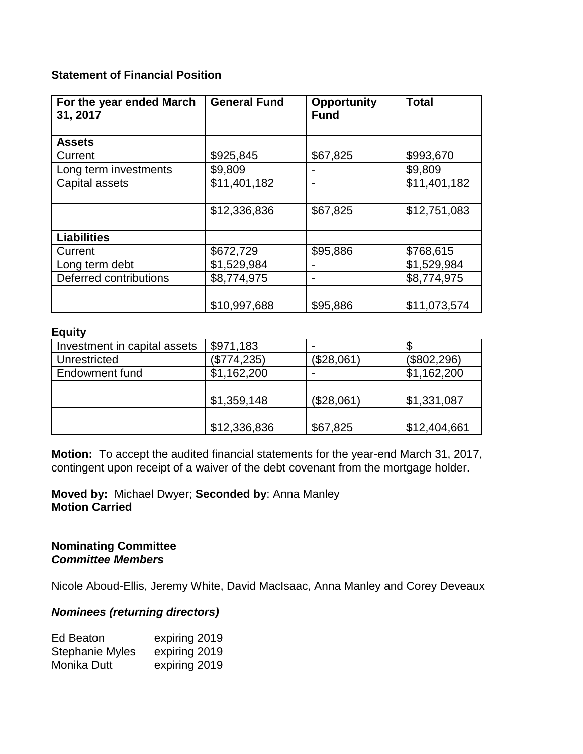# **Statement of Financial Position**

| For the year ended March | <b>General Fund</b> | <b>Opportunity</b> | <b>Total</b> |
|--------------------------|---------------------|--------------------|--------------|
| 31, 2017                 |                     | <b>Fund</b>        |              |
|                          |                     |                    |              |
| <b>Assets</b>            |                     |                    |              |
| Current                  | \$925,845           | \$67,825           | \$993,670    |
| Long term investments    | \$9,809             |                    | \$9,809      |
| Capital assets           | \$11,401,182        |                    | \$11,401,182 |
|                          |                     |                    |              |
|                          | \$12,336,836        | \$67,825           | \$12,751,083 |
|                          |                     |                    |              |
| <b>Liabilities</b>       |                     |                    |              |
| Current                  | \$672,729           | \$95,886           | \$768,615    |
| Long term debt           | \$1,529,984         |                    | \$1,529,984  |
| Deferred contributions   | \$8,774,975         |                    | \$8,774,975  |
|                          |                     |                    |              |
|                          | \$10,997,688        | \$95,886           | \$11,073,574 |

# **Equity**

| Investment in capital assets | \$971,183    |            |              |
|------------------------------|--------------|------------|--------------|
| Unrestricted                 | (\$774,235)  | (\$28,061  | (\$802,296)  |
| Endowment fund               | \$1,162,200  |            | \$1,162,200  |
|                              |              |            |              |
|                              | \$1,359,148  | (\$28,061" | \$1,331,087  |
|                              |              |            |              |
|                              | \$12,336,836 | \$67,825   | \$12,404,661 |

**Motion:** To accept the audited financial statements for the year-end March 31, 2017, contingent upon receipt of a waiver of the debt covenant from the mortgage holder.

**Moved by:** Michael Dwyer; **Seconded by**: Anna Manley **Motion Carried**

**Nominating Committee** *Committee Members*

Nicole Aboud-Ellis, Jeremy White, David MacIsaac, Anna Manley and Corey Deveaux

### *Nominees (returning directors)*

| Ed Beaton              | expiring 2019 |
|------------------------|---------------|
| <b>Stephanie Myles</b> | expiring 2019 |
| Monika Dutt            | expiring 2019 |